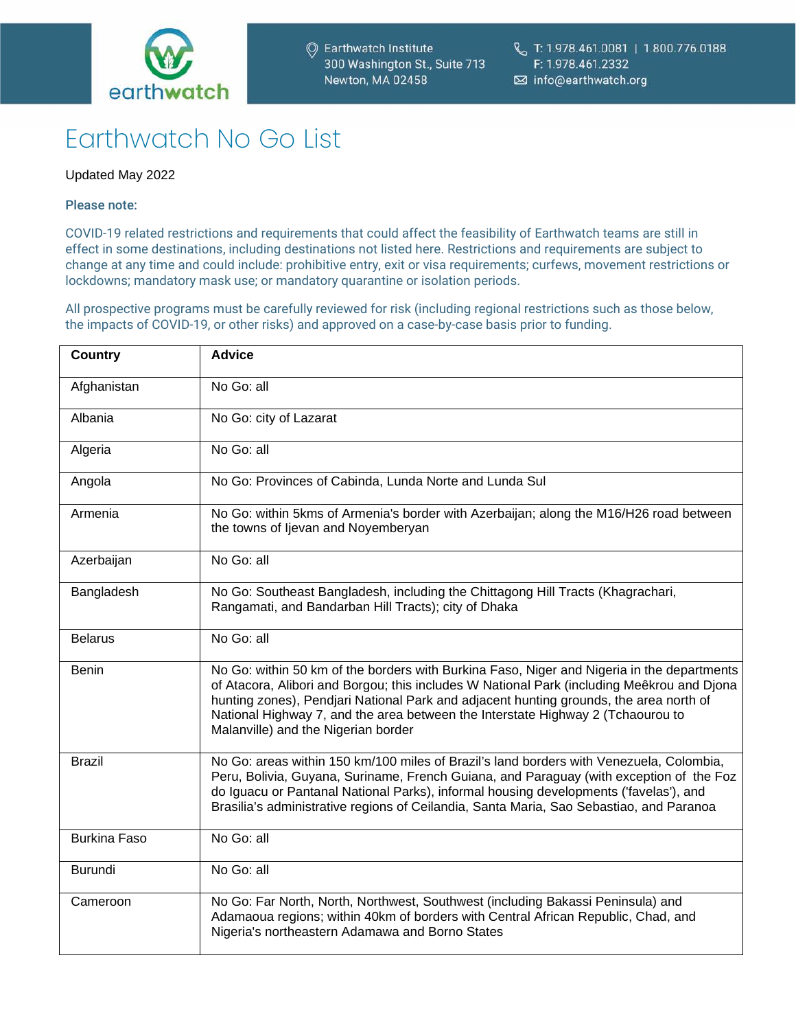

# Earthwatch No Go List

## Updated May 2022

### Please note:

COVID-19 related restrictions and requirements that could affect the feasibility of Earthwatch teams are still in effect in some destinations, including destinations not listed here. Restrictions and requirements are subject to change at any time and could include: prohibitive entry, exit or visa requirements; curfews, movement restrictions or lockdowns; mandatory mask use; or mandatory quarantine or isolation periods.

All prospective programs must be carefully reviewed for risk (including regional restrictions such as those below, the impacts of COVID-19, or other risks) and approved on a case-by-case basis prior to funding.

| <b>Country</b>      | <b>Advice</b>                                                                                                                                                                                                                                                                                                                                                                                                |
|---------------------|--------------------------------------------------------------------------------------------------------------------------------------------------------------------------------------------------------------------------------------------------------------------------------------------------------------------------------------------------------------------------------------------------------------|
| Afghanistan         | No Go: all                                                                                                                                                                                                                                                                                                                                                                                                   |
| Albania             | No Go: city of Lazarat                                                                                                                                                                                                                                                                                                                                                                                       |
| Algeria             | No Go: all                                                                                                                                                                                                                                                                                                                                                                                                   |
| Angola              | No Go: Provinces of Cabinda, Lunda Norte and Lunda Sul                                                                                                                                                                                                                                                                                                                                                       |
| Armenia             | No Go: within 5kms of Armenia's border with Azerbaijan; along the M16/H26 road between<br>the towns of Ijevan and Noyemberyan                                                                                                                                                                                                                                                                                |
| Azerbaijan          | No Go: all                                                                                                                                                                                                                                                                                                                                                                                                   |
| Bangladesh          | No Go: Southeast Bangladesh, including the Chittagong Hill Tracts (Khagrachari,<br>Rangamati, and Bandarban Hill Tracts); city of Dhaka                                                                                                                                                                                                                                                                      |
| <b>Belarus</b>      | No Go: all                                                                                                                                                                                                                                                                                                                                                                                                   |
| <b>Benin</b>        | No Go: within 50 km of the borders with Burkina Faso, Niger and Nigeria in the departments<br>of Atacora, Alibori and Borgou; this includes W National Park (including Meêkrou and Djona<br>hunting zones), Pendjari National Park and adjacent hunting grounds, the area north of<br>National Highway 7, and the area between the Interstate Highway 2 (Tchaourou to<br>Malanville) and the Nigerian border |
| <b>Brazil</b>       | No Go: areas within 150 km/100 miles of Brazil's land borders with Venezuela, Colombia,<br>Peru, Bolivia, Guyana, Suriname, French Guiana, and Paraguay (with exception of the Foz<br>do Iguacu or Pantanal National Parks), informal housing developments ('favelas'), and<br>Brasilia's administrative regions of Ceilandia, Santa Maria, Sao Sebastiao, and Paranoa                                       |
| <b>Burkina Faso</b> | No Go: all                                                                                                                                                                                                                                                                                                                                                                                                   |
| <b>Burundi</b>      | No Go: all                                                                                                                                                                                                                                                                                                                                                                                                   |
| Cameroon            | No Go: Far North, North, Northwest, Southwest (including Bakassi Peninsula) and<br>Adamaoua regions; within 40km of borders with Central African Republic, Chad, and<br>Nigeria's northeastern Adamawa and Borno States                                                                                                                                                                                      |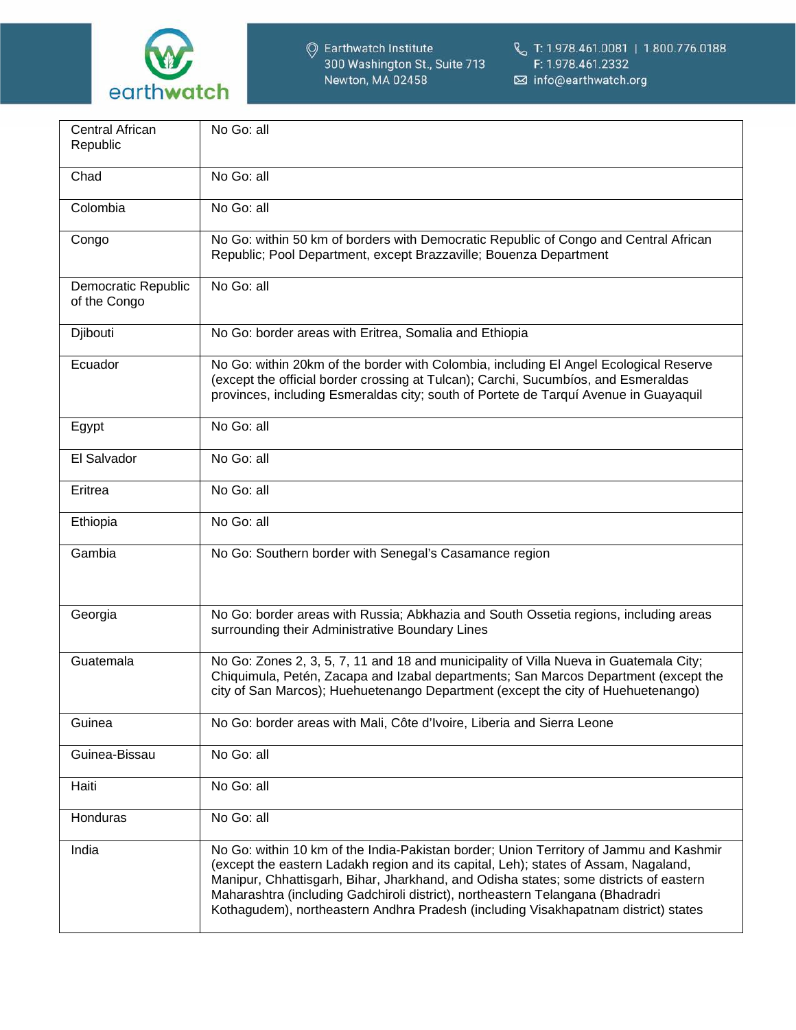

| Central African<br>Republic         | No Go: all                                                                                                                                                                                                                                                                                                                                                                                                                                     |
|-------------------------------------|------------------------------------------------------------------------------------------------------------------------------------------------------------------------------------------------------------------------------------------------------------------------------------------------------------------------------------------------------------------------------------------------------------------------------------------------|
| Chad                                | No Go: all                                                                                                                                                                                                                                                                                                                                                                                                                                     |
| Colombia                            | No Go: all                                                                                                                                                                                                                                                                                                                                                                                                                                     |
| Congo                               | No Go: within 50 km of borders with Democratic Republic of Congo and Central African<br>Republic; Pool Department, except Brazzaville; Bouenza Department                                                                                                                                                                                                                                                                                      |
| Democratic Republic<br>of the Congo | No Go: all                                                                                                                                                                                                                                                                                                                                                                                                                                     |
| Djibouti                            | No Go: border areas with Eritrea, Somalia and Ethiopia                                                                                                                                                                                                                                                                                                                                                                                         |
| Ecuador                             | No Go: within 20km of the border with Colombia, including El Angel Ecological Reserve<br>(except the official border crossing at Tulcan); Carchi, Sucumbios, and Esmeraldas<br>provinces, including Esmeraldas city; south of Portete de Tarquí Avenue in Guayaquil                                                                                                                                                                            |
| Egypt                               | No Go: all                                                                                                                                                                                                                                                                                                                                                                                                                                     |
| El Salvador                         | No Go: all                                                                                                                                                                                                                                                                                                                                                                                                                                     |
| Eritrea                             | No Go: all                                                                                                                                                                                                                                                                                                                                                                                                                                     |
| Ethiopia                            | No Go: all                                                                                                                                                                                                                                                                                                                                                                                                                                     |
| Gambia                              | No Go: Southern border with Senegal's Casamance region                                                                                                                                                                                                                                                                                                                                                                                         |
| Georgia                             | No Go: border areas with Russia; Abkhazia and South Ossetia regions, including areas<br>surrounding their Administrative Boundary Lines                                                                                                                                                                                                                                                                                                        |
| Guatemala                           | No Go: Zones 2, 3, 5, 7, 11 and 18 and municipality of Villa Nueva in Guatemala City;<br>Chiquimula, Petén, Zacapa and Izabal departments; San Marcos Department (except the<br>city of San Marcos); Huehuetenango Department (except the city of Huehuetenango)                                                                                                                                                                               |
| Guinea                              | No Go: border areas with Mali, Côte d'Ivoire, Liberia and Sierra Leone                                                                                                                                                                                                                                                                                                                                                                         |
| Guinea-Bissau                       | No Go: all                                                                                                                                                                                                                                                                                                                                                                                                                                     |
| Haiti                               | No Go: all                                                                                                                                                                                                                                                                                                                                                                                                                                     |
| Honduras                            | No Go: all                                                                                                                                                                                                                                                                                                                                                                                                                                     |
| India                               | No Go: within 10 km of the India-Pakistan border; Union Territory of Jammu and Kashmir<br>(except the eastern Ladakh region and its capital, Leh); states of Assam, Nagaland,<br>Manipur, Chhattisgarh, Bihar, Jharkhand, and Odisha states; some districts of eastern<br>Maharashtra (including Gadchiroli district), northeastern Telangana (Bhadradri<br>Kothagudem), northeastern Andhra Pradesh (including Visakhapatnam district) states |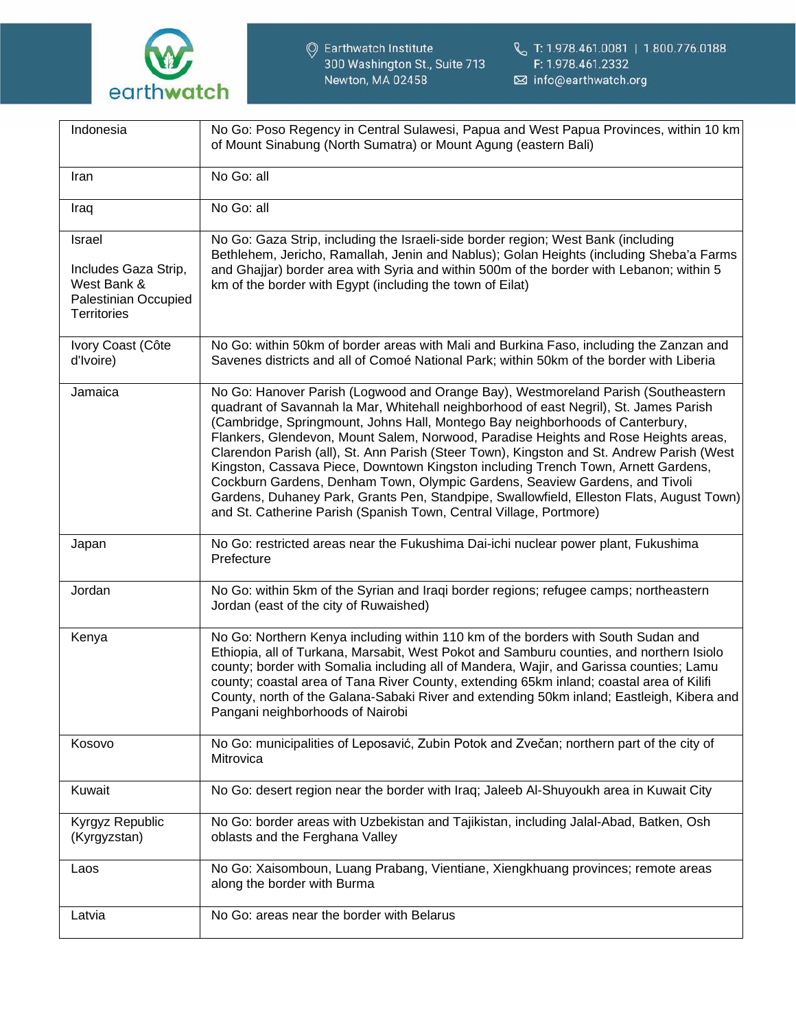

| Indonesia                                                                                   | No Go: Poso Regency in Central Sulawesi, Papua and West Papua Provinces, within 10 km<br>of Mount Sinabung (North Sumatra) or Mount Agung (eastern Bali)                                                                                                                                                                                                                                                                                                                                                                                                                                                                                                                                                                                                                              |
|---------------------------------------------------------------------------------------------|---------------------------------------------------------------------------------------------------------------------------------------------------------------------------------------------------------------------------------------------------------------------------------------------------------------------------------------------------------------------------------------------------------------------------------------------------------------------------------------------------------------------------------------------------------------------------------------------------------------------------------------------------------------------------------------------------------------------------------------------------------------------------------------|
| Iran                                                                                        | No Go: all                                                                                                                                                                                                                                                                                                                                                                                                                                                                                                                                                                                                                                                                                                                                                                            |
| Iraq                                                                                        | No Go: all                                                                                                                                                                                                                                                                                                                                                                                                                                                                                                                                                                                                                                                                                                                                                                            |
| Israel<br>Includes Gaza Strip,<br>West Bank &<br>Palestinian Occupied<br><b>Territories</b> | No Go: Gaza Strip, including the Israeli-side border region; West Bank (including<br>Bethlehem, Jericho, Ramallah, Jenin and Nablus); Golan Heights (including Sheba'a Farms<br>and Ghajjar) border area with Syria and within 500m of the border with Lebanon; within 5<br>km of the border with Egypt (including the town of Eilat)                                                                                                                                                                                                                                                                                                                                                                                                                                                 |
| Ivory Coast (Côte<br>d'Ivoire)                                                              | No Go: within 50km of border areas with Mali and Burkina Faso, including the Zanzan and<br>Savenes districts and all of Comoé National Park; within 50km of the border with Liberia                                                                                                                                                                                                                                                                                                                                                                                                                                                                                                                                                                                                   |
| Jamaica                                                                                     | No Go: Hanover Parish (Logwood and Orange Bay), Westmoreland Parish (Southeastern<br>quadrant of Savannah la Mar, Whitehall neighborhood of east Negril), St. James Parish<br>(Cambridge, Springmount, Johns Hall, Montego Bay neighborhoods of Canterbury,<br>Flankers, Glendevon, Mount Salem, Norwood, Paradise Heights and Rose Heights areas,<br>Clarendon Parish (all), St. Ann Parish (Steer Town), Kingston and St. Andrew Parish (West<br>Kingston, Cassava Piece, Downtown Kingston including Trench Town, Arnett Gardens,<br>Cockburn Gardens, Denham Town, Olympic Gardens, Seaview Gardens, and Tivoli<br>Gardens, Duhaney Park, Grants Pen, Standpipe, Swallowfield, Elleston Flats, August Town)<br>and St. Catherine Parish (Spanish Town, Central Village, Portmore) |
| Japan                                                                                       | No Go: restricted areas near the Fukushima Dai-ichi nuclear power plant, Fukushima<br>Prefecture                                                                                                                                                                                                                                                                                                                                                                                                                                                                                                                                                                                                                                                                                      |
| Jordan                                                                                      | No Go: within 5km of the Syrian and Iraqi border regions; refugee camps; northeastern<br>Jordan (east of the city of Ruwaished)                                                                                                                                                                                                                                                                                                                                                                                                                                                                                                                                                                                                                                                       |
| Kenya                                                                                       | No Go: Northern Kenya including within 110 km of the borders with South Sudan and<br>Ethiopia, all of Turkana, Marsabit, West Pokot and Samburu counties, and northern Isiolo<br>county; border with Somalia including all of Mandera, Wajir, and Garissa counties; Lamu<br>county; coastal area of Tana River County, extending 65km inland; coastal area of Kilifi<br>County, north of the Galana-Sabaki River and extending 50km inland; Eastleigh, Kibera and<br>Pangani neighborhoods of Nairobi                                                                                                                                                                                                                                                                                 |
| Kosovo                                                                                      | No Go: municipalities of Leposavić, Zubin Potok and Zvečan; northern part of the city of<br>Mitrovica                                                                                                                                                                                                                                                                                                                                                                                                                                                                                                                                                                                                                                                                                 |
| Kuwait                                                                                      | No Go: desert region near the border with Iraq; Jaleeb Al-Shuyoukh area in Kuwait City                                                                                                                                                                                                                                                                                                                                                                                                                                                                                                                                                                                                                                                                                                |
| Kyrgyz Republic<br>(Kyrgyzstan)                                                             | No Go: border areas with Uzbekistan and Tajikistan, including Jalal-Abad, Batken, Osh<br>oblasts and the Ferghana Valley                                                                                                                                                                                                                                                                                                                                                                                                                                                                                                                                                                                                                                                              |
| Laos                                                                                        | No Go: Xaisomboun, Luang Prabang, Vientiane, Xiengkhuang provinces; remote areas<br>along the border with Burma                                                                                                                                                                                                                                                                                                                                                                                                                                                                                                                                                                                                                                                                       |
| Latvia                                                                                      | No Go: areas near the border with Belarus                                                                                                                                                                                                                                                                                                                                                                                                                                                                                                                                                                                                                                                                                                                                             |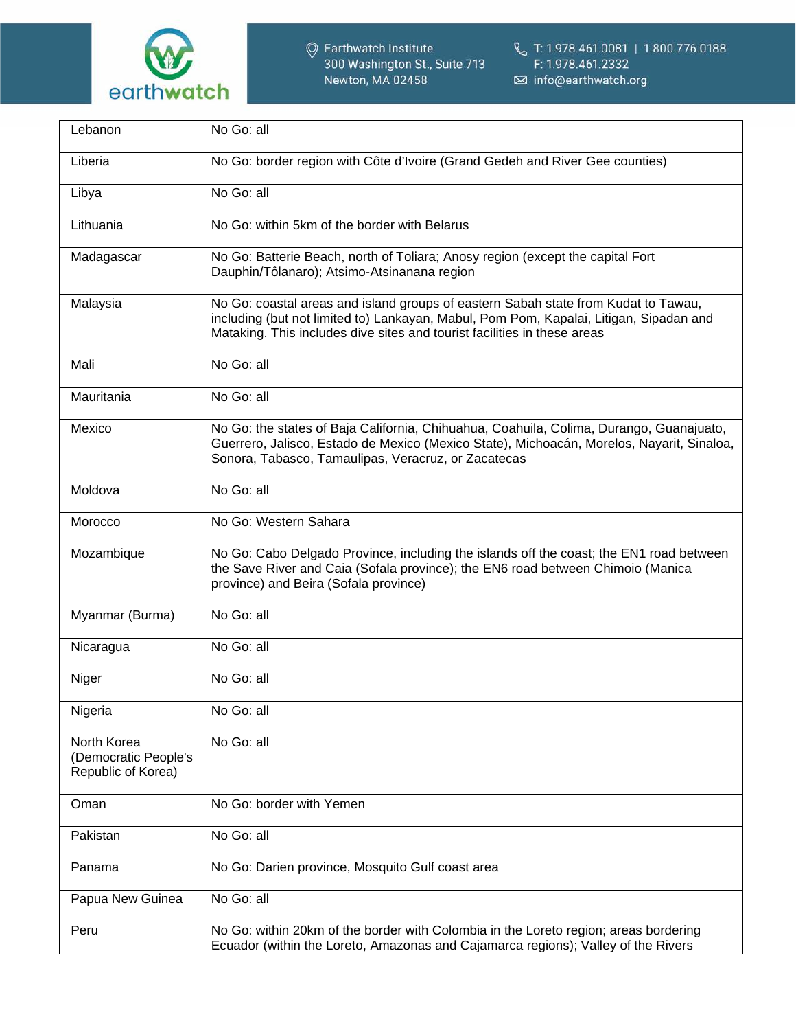

| Lebanon                                                   | No Go: all                                                                                                                                                                                                                                               |
|-----------------------------------------------------------|----------------------------------------------------------------------------------------------------------------------------------------------------------------------------------------------------------------------------------------------------------|
| Liberia                                                   | No Go: border region with Côte d'Ivoire (Grand Gedeh and River Gee counties)                                                                                                                                                                             |
| Libya                                                     | No Go: all                                                                                                                                                                                                                                               |
| Lithuania                                                 | No Go: within 5km of the border with Belarus                                                                                                                                                                                                             |
| Madagascar                                                | No Go: Batterie Beach, north of Toliara; Anosy region (except the capital Fort<br>Dauphin/Tôlanaro); Atsimo-Atsinanana region                                                                                                                            |
| Malaysia                                                  | No Go: coastal areas and island groups of eastern Sabah state from Kudat to Tawau,<br>including (but not limited to) Lankayan, Mabul, Pom Pom, Kapalai, Litigan, Sipadan and<br>Mataking. This includes dive sites and tourist facilities in these areas |
| Mali                                                      | No Go: all                                                                                                                                                                                                                                               |
| Mauritania                                                | No Go: all                                                                                                                                                                                                                                               |
| Mexico                                                    | No Go: the states of Baja California, Chihuahua, Coahuila, Colima, Durango, Guanajuato,<br>Guerrero, Jalisco, Estado de Mexico (Mexico State), Michoacán, Morelos, Nayarit, Sinaloa,<br>Sonora, Tabasco, Tamaulipas, Veracruz, or Zacatecas              |
| Moldova                                                   | No Go: all                                                                                                                                                                                                                                               |
| Morocco                                                   | No Go: Western Sahara                                                                                                                                                                                                                                    |
| Mozambique                                                | No Go: Cabo Delgado Province, including the islands off the coast; the EN1 road between<br>the Save River and Caia (Sofala province); the EN6 road between Chimoio (Manica<br>province) and Beira (Sofala province)                                      |
| Myanmar (Burma)                                           | No Go: all                                                                                                                                                                                                                                               |
| Nicaragua                                                 | No Go: all                                                                                                                                                                                                                                               |
| Niger                                                     | No Go: all                                                                                                                                                                                                                                               |
| Nigeria                                                   | No Go: all                                                                                                                                                                                                                                               |
| North Korea<br>(Democratic People's<br>Republic of Korea) | No Go: all                                                                                                                                                                                                                                               |
| Oman                                                      | No Go: border with Yemen                                                                                                                                                                                                                                 |
| Pakistan                                                  | No Go: all                                                                                                                                                                                                                                               |
| Panama                                                    | No Go: Darien province, Mosquito Gulf coast area                                                                                                                                                                                                         |
| Papua New Guinea                                          | No Go: all                                                                                                                                                                                                                                               |
| Peru                                                      | No Go: within 20km of the border with Colombia in the Loreto region; areas bordering<br>Ecuador (within the Loreto, Amazonas and Cajamarca regions); Valley of the Rivers                                                                                |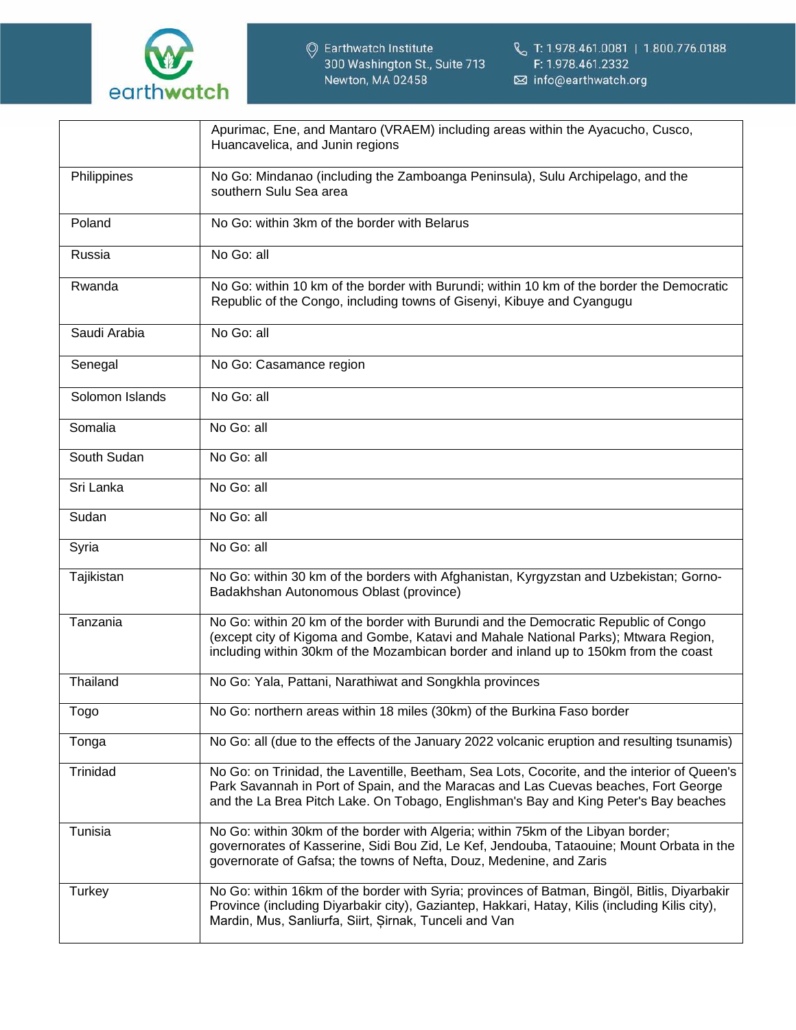

|                 | Apurimac, Ene, and Mantaro (VRAEM) including areas within the Ayacucho, Cusco,<br>Huancavelica, and Junin regions                                                                                                                                                           |
|-----------------|-----------------------------------------------------------------------------------------------------------------------------------------------------------------------------------------------------------------------------------------------------------------------------|
| Philippines     | No Go: Mindanao (including the Zamboanga Peninsula), Sulu Archipelago, and the<br>southern Sulu Sea area                                                                                                                                                                    |
| Poland          | No Go: within 3km of the border with Belarus                                                                                                                                                                                                                                |
| Russia          | No Go: all                                                                                                                                                                                                                                                                  |
| Rwanda          | No Go: within 10 km of the border with Burundi; within 10 km of the border the Democratic<br>Republic of the Congo, including towns of Gisenyi, Kibuye and Cyangugu                                                                                                         |
| Saudi Arabia    | No Go: all                                                                                                                                                                                                                                                                  |
| Senegal         | No Go: Casamance region                                                                                                                                                                                                                                                     |
| Solomon Islands | No Go: all                                                                                                                                                                                                                                                                  |
| Somalia         | No Go: all                                                                                                                                                                                                                                                                  |
| South Sudan     | No Go: all                                                                                                                                                                                                                                                                  |
| Sri Lanka       | No Go: all                                                                                                                                                                                                                                                                  |
| Sudan           | No Go: all                                                                                                                                                                                                                                                                  |
| Syria           | No Go: all                                                                                                                                                                                                                                                                  |
| Tajikistan      | No Go: within 30 km of the borders with Afghanistan, Kyrgyzstan and Uzbekistan; Gorno-<br>Badakhshan Autonomous Oblast (province)                                                                                                                                           |
| Tanzania        | No Go: within 20 km of the border with Burundi and the Democratic Republic of Congo<br>(except city of Kigoma and Gombe, Katavi and Mahale National Parks); Mtwara Region,<br>including within 30km of the Mozambican border and inland up to 150km from the coast          |
| Thailand        | No Go: Yala, Pattani, Narathiwat and Songkhla provinces                                                                                                                                                                                                                     |
| Togo            | No Go: northern areas within 18 miles (30km) of the Burkina Faso border                                                                                                                                                                                                     |
| Tonga           | No Go: all (due to the effects of the January 2022 volcanic eruption and resulting tsunamis)                                                                                                                                                                                |
| Trinidad        | No Go: on Trinidad, the Laventille, Beetham, Sea Lots, Cocorite, and the interior of Queen's<br>Park Savannah in Port of Spain, and the Maracas and Las Cuevas beaches, Fort George<br>and the La Brea Pitch Lake. On Tobago, Englishman's Bay and King Peter's Bay beaches |
| Tunisia         | No Go: within 30km of the border with Algeria; within 75km of the Libyan border;<br>governorates of Kasserine, Sidi Bou Zid, Le Kef, Jendouba, Tataouine; Mount Orbata in the<br>governorate of Gafsa; the towns of Nefta, Douz, Medenine, and Zaris                        |
| Turkey          | No Go: within 16km of the border with Syria; provinces of Batman, Bingöl, Bitlis, Diyarbakir<br>Province (including Diyarbakir city), Gaziantep, Hakkari, Hatay, Kilis (including Kilis city),<br>Mardin, Mus, Sanliurfa, Siirt, Sirnak, Tunceli and Van                    |